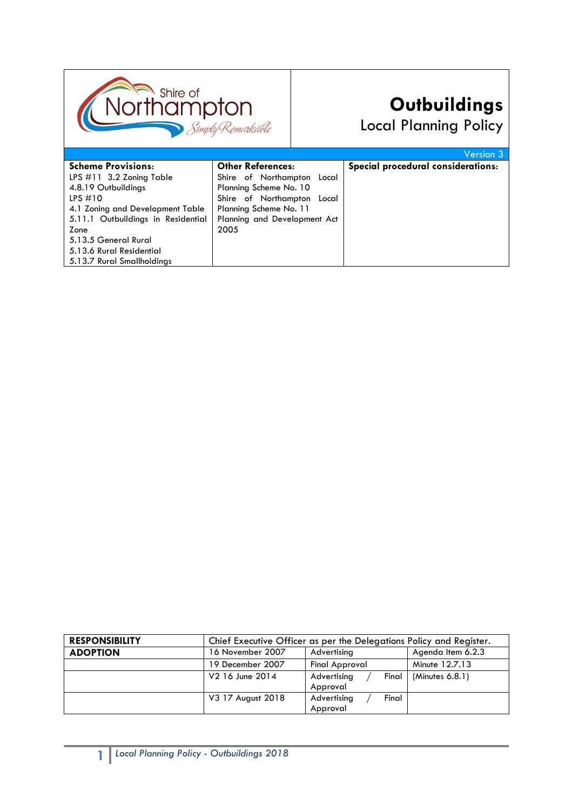

# **Outbuildings**

Local Planning Policy

|                                    |                               | Version 3                          |
|------------------------------------|-------------------------------|------------------------------------|
| <b>Scheme Provisions:</b>          | <b>Other References:</b>      | Special procedural considerations: |
| LPS $\#11$ 3.2 Zoning Table        | Shire of Northampton<br>Local |                                    |
| 4.8.19 Outbuildings                | Planning Scheme No. 10        |                                    |
| LPS $#10$                          | Shire of Northampton<br>Local |                                    |
| 4.1 Zoning and Development Table   | Planning Scheme No. 11        |                                    |
| 5.11.1 Outbuildings in Residential | Planning and Development Act  |                                    |
| Zone                               | 2005                          |                                    |
| 5.13.5 General Rural               |                               |                                    |
| 5.13.6 Rural Residential           |                               |                                    |
| 5.13.7 Rural Smallholdings         |                               |                                    |
|                                    |                               |                                    |

| <b>RESPONSIBILITY</b> | Chief Executive Officer as per the Delegations Policy and Register. |                                  |                   |  |
|-----------------------|---------------------------------------------------------------------|----------------------------------|-------------------|--|
| <b>ADOPTION</b>       | 16 November 2007                                                    | Advertising                      | Agenda Item 6.2.3 |  |
|                       | 19 December 2007                                                    | Final Approval                   | Minute 12.7.13    |  |
|                       | V2 16 June 2014                                                     | Final<br>Advertising<br>Approval | (Minutes 6.8.1)   |  |
|                       | V3 17 August 2018                                                   | Final<br>Advertising<br>Approval |                   |  |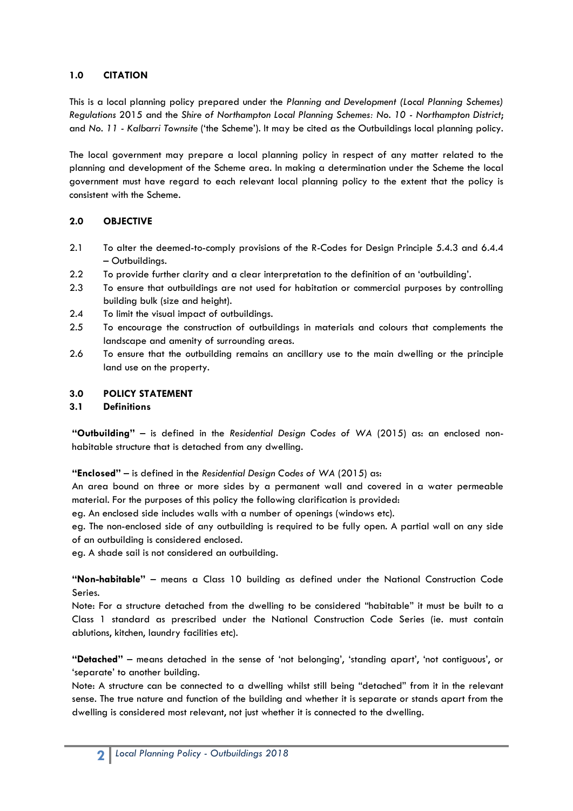### **1.0 CITATION**

This is a local planning policy prepared under the *Planning and Development (Local Planning Schemes) Regulations* 2015 and the *Shire of Northampton Local Planning Schemes: No. 10 - Northampton District*; and *No. 11 - Kalbarri Townsite* ('the Scheme'). It may be cited as the Outbuildings local planning policy.

The local government may prepare a local planning policy in respect of any matter related to the planning and development of the Scheme area. In making a determination under the Scheme the local government must have regard to each relevant local planning policy to the extent that the policy is consistent with the Scheme.

# **2.0 OBJECTIVE**

- 2.1 To alter the deemed-to-comply provisions of the R-Codes for Design Principle 5.4.3 and 6.4.4 – Outbuildings.
- 2.2 To provide further clarity and a clear interpretation to the definition of an 'outbuilding'.
- 2.3 To ensure that outbuildings are not used for habitation or commercial purposes by controlling building bulk (size and height).
- 2.4 To limit the visual impact of outbuildings.
- 2.5 To encourage the construction of outbuildings in materials and colours that complements the landscape and amenity of surrounding areas.
- 2.6 To ensure that the outbuilding remains an ancillary use to the main dwelling or the principle land use on the property.

### **3.0 POLICY STATEMENT**

### **3.1 Definitions**

**"Outbuilding"** – is defined in the *Residential Design Codes of WA* (2015) as: an enclosed nonhabitable structure that is detached from any dwelling.

**"Enclosed"** – is defined in the *Residential Design Codes of WA* (2015) as:

An area bound on three or more sides by a permanent wall and covered in a water permeable material. For the purposes of this policy the following clarification is provided:

eg. An enclosed side includes walls with a number of openings (windows etc).

eg. The non-enclosed side of any outbuilding is required to be fully open. A partial wall on any side of an outbuilding is considered enclosed.

eg. A shade sail is not considered an outbuilding.

**"Non-habitable"** – means a Class 10 building as defined under the National Construction Code Series.

Note: For a structure detached from the dwelling to be considered "habitable" it must be built to a Class 1 standard as prescribed under the National Construction Code Series (ie. must contain ablutions, kitchen, laundry facilities etc).

**"Detached"** – means detached in the sense of 'not belonging', 'standing apart', 'not contiguous', or 'separate' to another building.

Note: A structure can be connected to a dwelling whilst still being "detached" from it in the relevant sense. The true nature and function of the building and whether it is separate or stands apart from the dwelling is considered most relevant, not just whether it is connected to the dwelling.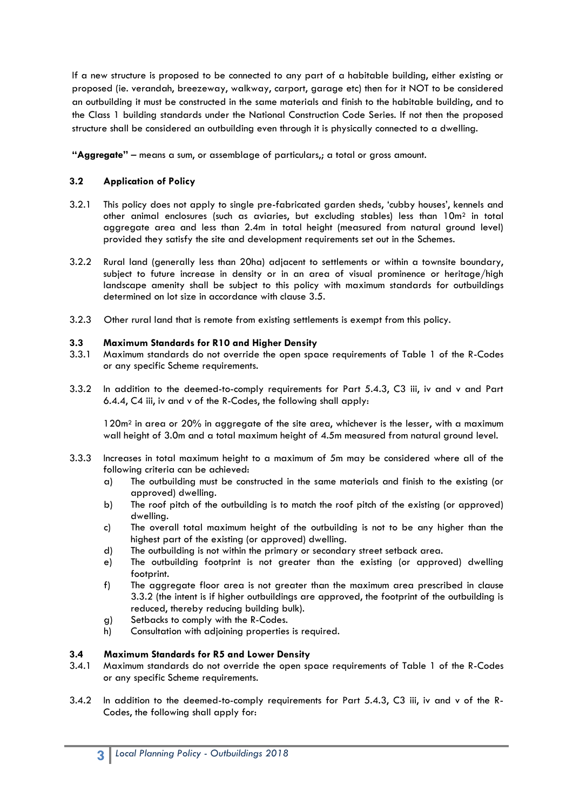If a new structure is proposed to be connected to any part of a habitable building, either existing or proposed (ie. verandah, breezeway, walkway, carport, garage etc) then for it NOT to be considered an outbuilding it must be constructed in the same materials and finish to the habitable building, and to the Class 1 building standards under the National Construction Code Series. If not then the proposed structure shall be considered an outbuilding even through it is physically connected to a dwelling.

**"Aggregate"** – means a sum, or assemblage of particulars,; a total or gross amount.

# **3.2 Application of Policy**

- 3.2.1 This policy does not apply to single pre-fabricated garden sheds, 'cubby houses', kennels and other animal enclosures (such as aviaries, but excluding stables) less than 10m<sup>2</sup> in total aggregate area and less than 2.4m in total height (measured from natural ground level) provided they satisfy the site and development requirements set out in the Schemes.
- 3.2.2 Rural land (generally less than 20ha) adjacent to settlements or within a townsite boundary, subject to future increase in density or in an area of visual prominence or heritage/high landscape amenity shall be subject to this policy with maximum standards for outbuildings determined on lot size in accordance with clause 3.5.
- 3.2.3 Other rural land that is remote from existing settlements is exempt from this policy.

### **3.3 Maximum Standards for R10 and Higher Density**

- 3.3.1 Maximum standards do not override the open space requirements of Table 1 of the R-Codes or any specific Scheme requirements.
- 3.3.2 In addition to the deemed-to-comply requirements for Part 5.4.3, C3 iii, iv and v and Part 6.4.4, C4 iii, iv and v of the R-Codes, the following shall apply:

120m<sup>2</sup> in area or 20% in aggregate of the site area, whichever is the lesser, with a maximum wall height of 3.0m and a total maximum height of 4.5m measured from natural ground level.

- 3.3.3 Increases in total maximum height to a maximum of 5m may be considered where all of the following criteria can be achieved:
	- a) The outbuilding must be constructed in the same materials and finish to the existing (or approved) dwelling.
	- b) The roof pitch of the outbuilding is to match the roof pitch of the existing (or approved) dwelling.
	- c) The overall total maximum height of the outbuilding is not to be any higher than the highest part of the existing (or approved) dwelling.
	- d) The outbuilding is not within the primary or secondary street setback area.
	- e) The outbuilding footprint is not greater than the existing (or approved) dwelling footprint.
	- f) The aggregate floor area is not greater than the maximum area prescribed in clause 3.3.2 (the intent is if higher outbuildings are approved, the footprint of the outbuilding is reduced, thereby reducing building bulk).
	- g) Setbacks to comply with the R-Codes.
	- h) Consultation with adjoining properties is required.

### **3.4 Maximum Standards for R5 and Lower Density**

- 3.4.1 Maximum standards do not override the open space requirements of Table 1 of the R-Codes or any specific Scheme requirements.
- 3.4.2 In addition to the deemed-to-comply requirements for Part 5.4.3, C3 iii, iv and v of the R-Codes, the following shall apply for: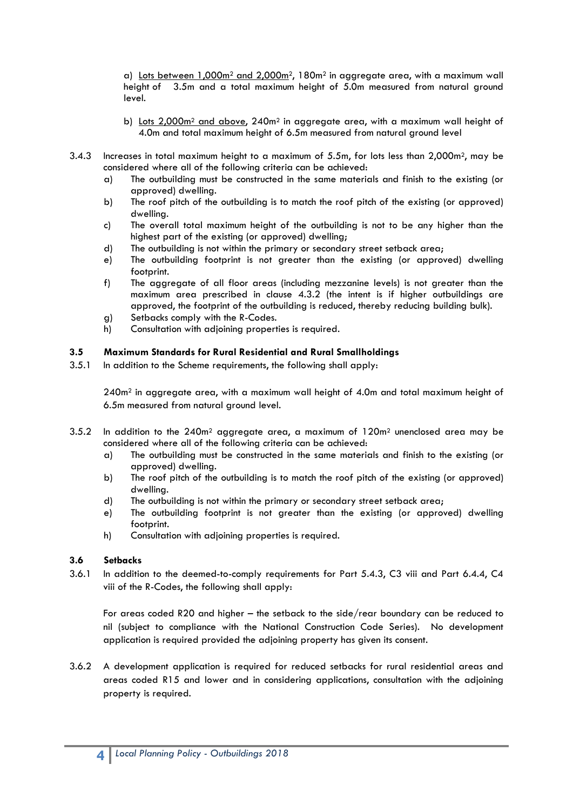a) Lots between 1,000m<sup>2</sup> and 2,000m2, 180m<sup>2</sup> in aggregate area, with a maximum wall height of 3.5m and a total maximum height of 5.0m measured from natural ground level.

- b) Lots  $2,000m^2$  and above,  $240m^2$  in aggregate area, with a maximum wall height of 4.0m and total maximum height of 6.5m measured from natural ground level
- 3.4.3 Increases in total maximum height to a maximum of 5.5m, for lots less than 2,000m2, may be considered where all of the following criteria can be achieved:
	- a) The outbuilding must be constructed in the same materials and finish to the existing (or approved) dwelling.
	- b) The roof pitch of the outbuilding is to match the roof pitch of the existing (or approved) dwelling.
	- c) The overall total maximum height of the outbuilding is not to be any higher than the highest part of the existing (or approved) dwelling;
	- d) The outbuilding is not within the primary or secondary street setback area;
	- e) The outbuilding footprint is not greater than the existing (or approved) dwelling footprint.
	- f) The aggregate of all floor areas (including mezzanine levels) is not greater than the maximum area prescribed in clause 4.3.2 (the intent is if higher outbuildings are approved, the footprint of the outbuilding is reduced, thereby reducing building bulk).
	- g) Setbacks comply with the R-Codes.
	- h) Consultation with adjoining properties is required.

#### **3.5 Maximum Standards for Rural Residential and Rural Smallholdings**

3.5.1 In addition to the Scheme requirements, the following shall apply:

 $240m<sup>2</sup>$  in aggregate area, with a maximum wall height of 4.0m and total maximum height of 6.5m measured from natural ground level.

- 3.5.2 In addition to the  $240m^2$  aggregate area, a maximum of  $120m^2$  unenclosed area may be considered where all of the following criteria can be achieved:
	- a) The outbuilding must be constructed in the same materials and finish to the existing (or approved) dwelling.
	- b) The roof pitch of the outbuilding is to match the roof pitch of the existing (or approved) dwelling.
	- d) The outbuilding is not within the primary or secondary street setback area;
	- e) The outbuilding footprint is not greater than the existing (or approved) dwelling footprint.
	- h) Consultation with adjoining properties is required.

#### **3.6 Setbacks**

3.6.1 In addition to the deemed-to-comply requirements for Part 5.4.3, C3 viii and Part 6.4.4, C4 viii of the R-Codes, the following shall apply:

For areas coded R20 and higher – the setback to the side/rear boundary can be reduced to nil (subject to compliance with the National Construction Code Series). No development application is required provided the adjoining property has given its consent.

3.6.2 A development application is required for reduced setbacks for rural residential areas and areas coded R15 and lower and in considering applications, consultation with the adjoining property is required.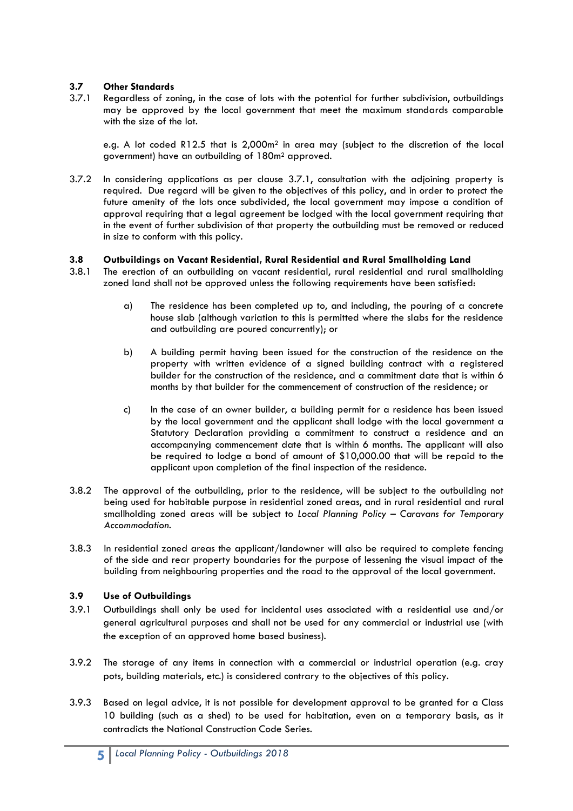# **3.7 Other Standards**

3.7.1 Regardless of zoning, in the case of lots with the potential for further subdivision, outbuildings may be approved by the local government that meet the maximum standards comparable with the size of the lot.

e.g. A lot coded R12.5 that is 2,000m<sup>2</sup> in area may (subject to the discretion of the local government) have an outbuilding of 180m<sup>2</sup> approved.

3.7.2 In considering applications as per clause 3.7.1, consultation with the adjoining property is required. Due regard will be given to the objectives of this policy, and in order to protect the future amenity of the lots once subdivided, the local government may impose a condition of approval requiring that a legal agreement be lodged with the local government requiring that in the event of further subdivision of that property the outbuilding must be removed or reduced in size to conform with this policy.

### **3.8 Outbuildings on Vacant Residential, Rural Residential and Rural Smallholding Land**

- 3.8.1 The erection of an outbuilding on vacant residential, rural residential and rural smallholding zoned land shall not be approved unless the following requirements have been satisfied:
	- a) The residence has been completed up to, and including, the pouring of a concrete house slab (although variation to this is permitted where the slabs for the residence and outbuilding are poured concurrently); or
	- b) A building permit having been issued for the construction of the residence on the property with written evidence of a signed building contract with a registered builder for the construction of the residence, and a commitment date that is within 6 months by that builder for the commencement of construction of the residence; or
	- c) In the case of an owner builder, a building permit for a residence has been issued by the local government and the applicant shall lodge with the local government a Statutory Declaration providing a commitment to construct a residence and an accompanying commencement date that is within 6 months. The applicant will also be required to lodge a bond of amount of \$10,000.00 that will be repaid to the applicant upon completion of the final inspection of the residence.
- 3.8.2 The approval of the outbuilding, prior to the residence, will be subject to the outbuilding not being used for habitable purpose in residential zoned areas, and in rural residential and rural smallholding zoned areas will be subject to *Local Planning Policy – Caravans for Temporary Accommodation*.
- 3.8.3 In residential zoned areas the applicant/landowner will also be required to complete fencing of the side and rear property boundaries for the purpose of lessening the visual impact of the building from neighbouring properties and the road to the approval of the local government.

### **3.9 Use of Outbuildings**

- 3.9.1 Outbuildings shall only be used for incidental uses associated with a residential use and/or general agricultural purposes and shall not be used for any commercial or industrial use (with the exception of an approved home based business).
- 3.9.2 The storage of any items in connection with a commercial or industrial operation (e.g. cray pots, building materials, etc.) is considered contrary to the objectives of this policy.
- 3.9.3 Based on legal advice, it is not possible for development approval to be granted for a Class 10 building (such as a shed) to be used for habitation, even on a temporary basis, as it contradicts the National Construction Code Series.